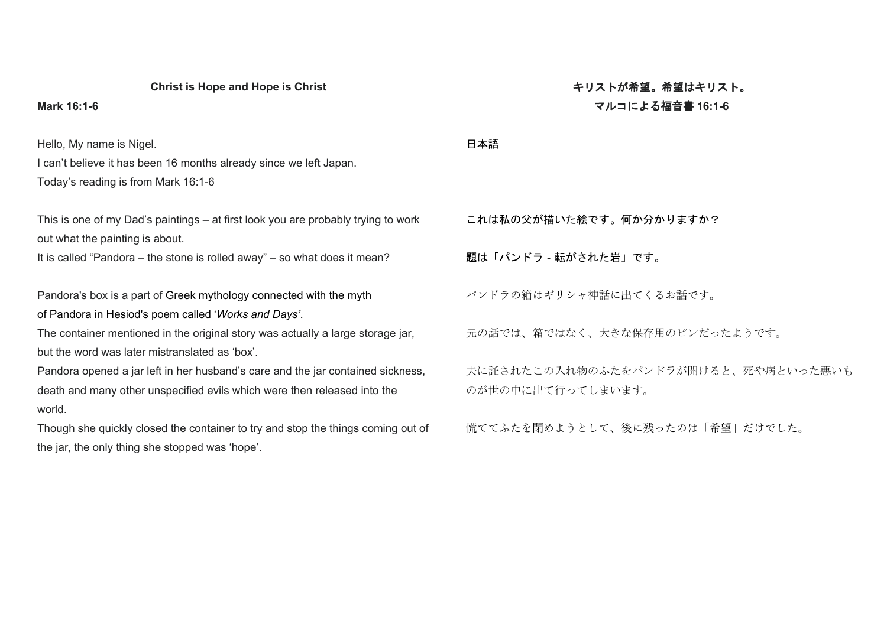## **Christ is Hope and Hope is Christ**

## **Mark 16:1-6**

Hello, My name is Nigel.

I can't believe it has been 16 months already since we left Japan. Today's reading is from Mark 16:1-6

This is one of my Dad's paintings – at first look you are probably trying to work out what the painting is about.

It is called "Pandora – the stone is rolled away" – so what does it mean?

Pandora's box is a part of [Greek mythology](https://en.wikipedia.org/wiki/Greek_mythology) connected with the myth of [Pandora](https://en.wikipedia.org/wiki/Pandora) in [Hesiod's](https://en.wikipedia.org/wiki/Hesiod) poem called '*[Works and Days'](https://en.wikipedia.org/wiki/Works_and_Days)*.

The container mentioned in the original story was actually a large storage jar, but the word was later mistranslated as 'box'.

Pandora opened a jar left in her husband's care and the jar contained sickness, death and many other unspecified evils which were then released into the world.

Though she quickly closed the container to try and stop the things coming out of the jar, the only thing she stopped was 'hope'.

# キリストが希望。希望はキリスト。 マルコによる福音書 **16:1-6**

#### 日本語

これは私の父が描いた絵です。何か分かりますか?

題は「パンドラ‐転がされた岩」です。

パンドラの箱はギリシャ神話に出てくるお話です。

元の話では、箱ではなく、大きな保存用のビンだったようです。

夫に託されたこの入れ物のふたをパンドラが開けると、死や病といった悪いも のが世の中に出て行ってしまいます。

慌ててふたを閉めようとして、後に残ったのは「希望」だけでした。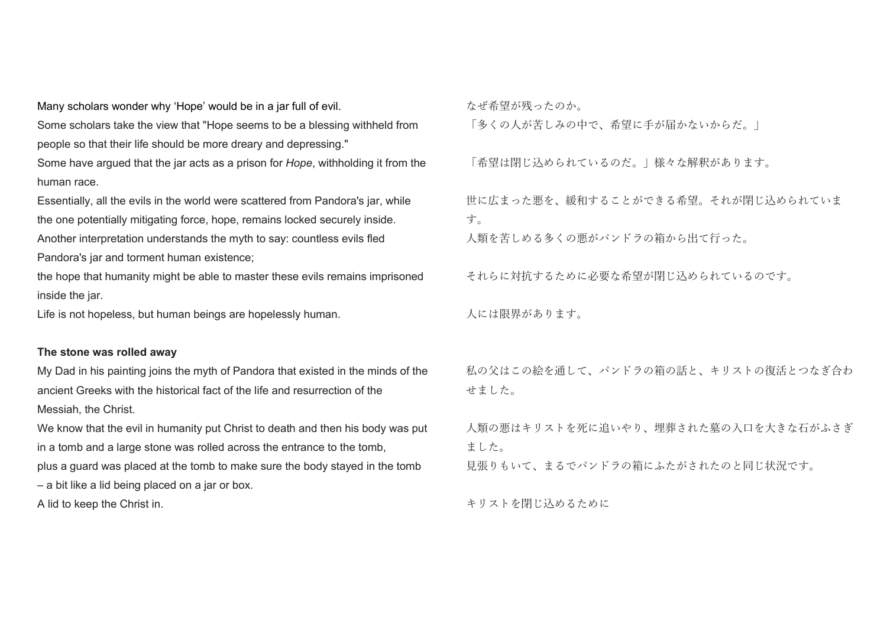Many scholars wonder why 'Hope' would be in a jar full of evil.

Some scholars take the view that "Hope seems to be a blessing withheld from people so that their life should be more dreary and depressing."

Some have argued that the jar acts as a prison for *Hope*, withholding it from the human race.

Essentially, all the evils in the world were scattered from Pandora's jar, while the one potentially mitigating force, hope, remains locked securely inside. Another interpretation understands the myth to say: countless evils fled Pandora's jar and torment human existence;

the hope that humanity might be able to master these evils remains imprisoned inside the jar.

Life is not hopeless, but human beings are hopelessly human.

# **The stone was rolled away**

My Dad in his painting joins the myth of Pandora that existed in the minds of the ancient Greeks with the historical fact of the life and resurrection of the Messiah, the Christ.

We know that the evil in humanity put Christ to death and then his body was put in a tomb and a large stone was rolled across the entrance to the tomb, plus a guard was placed at the tomb to make sure the body stayed in the tomb – a bit like a lid being placed on a jar or box.

A lid to keep the Christ in.

なぜ希望が残ったのか。

「多くの人が苦しみの中で、希望に手が届かないからだ。」

「希望は閉じ込められているのだ。」様々な解釈があります。

世に広まった悪を、緩和することができる希望。それが閉じ込められていま す。

人類を苦しめる多くの悪がパンドラの箱から出て行った。

それらに対抗するために必要な希望が閉じ込められているのです。

人には限界があります。

私の父はこの絵を通して、パンドラの箱の話と、キリストの復活とつなぎ合わ せました。

人類の悪はキリストを死に追いやり、埋葬された墓の入口を大きな石がふさぎ ました。

見張りもいて、まるでパンドラの箱にふたがされたのと同じ状況です。

キリストを閉じ込めるために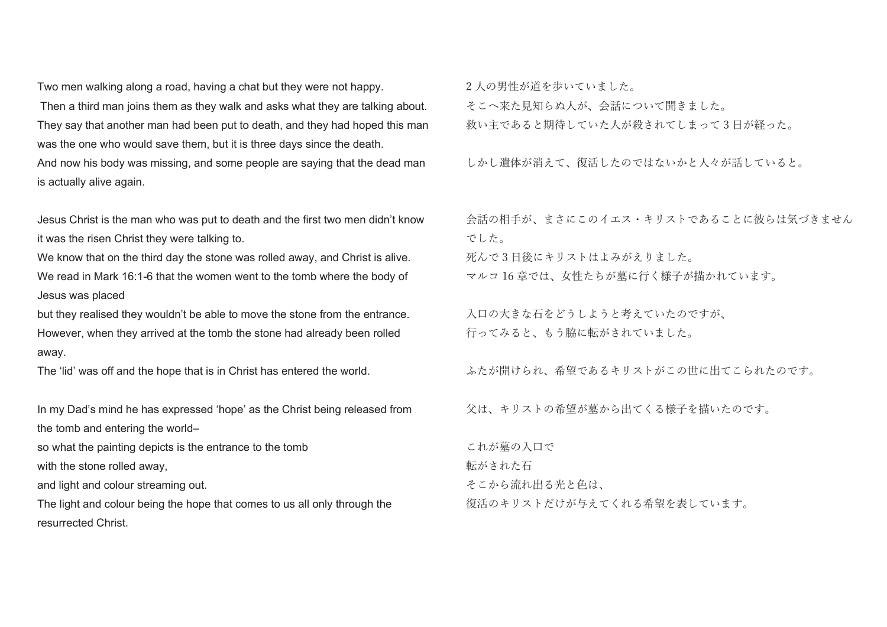Two men walking along a road, having a chat but they were not happy.

Then a third man joins them as they walk and asks what they are talking about. They say that another man had been put to death, and they had hoped this man was the one who would save them, but it is three days since the death.

And now his body was missing, and some people are saying that the dead man is actually alive again.

Jesus Christ is the man who was put to death and the first two men didn't know it was the risen Christ they were talking to.

We know that on the third day the stone was rolled away, and Christ is alive. We read in Mark 16:1-6 that the women went to the tomb where the body of Jesus was placed

but they realised they wouldn't be able to move the stone from the entrance. However, when they arrived at the tomb the stone had already been rolled away.

The 'lid' was off and the hope that is in Christ has entered the world.

In my Dad's mind he has expressed 'hope' as the Christ being released from the tomb and entering the world–

so what the painting depicts is the entrance to the tomb

with the stone rolled away,

and light and colour streaming out.

The light and colour being the hope that comes to us all only through the resurrected Christ.

2 人の男性が道を歩いていました。 そこへ来た見知らぬ人が、会話について聞きました。 救い主であると期待していた人が殺されてしまって 3 日が経った。

しかし遺体が消えて、復活したのではないかと人々が話していると。

会話の相手が、まさにこのイエス・キリストであることに彼らは気づきません でした。

死んで 3 日後にキリストはよみがえりました。

マルコ 16 章では、女性たちが墓に行く様子が描かれています。

入口の大きな石をどうしようと考えていたのですが、 行ってみると、もう脇に転がされていました。

ふたが開けられ、希望であるキリストがこの世に出てこられたのです。

父は、キリストの希望が墓から出てくる様子を描いたのです。

これが墓の入口で 転がされた石 そこから流れ出る光と色は、 復活のキリストだけが与えてくれる希望を表しています。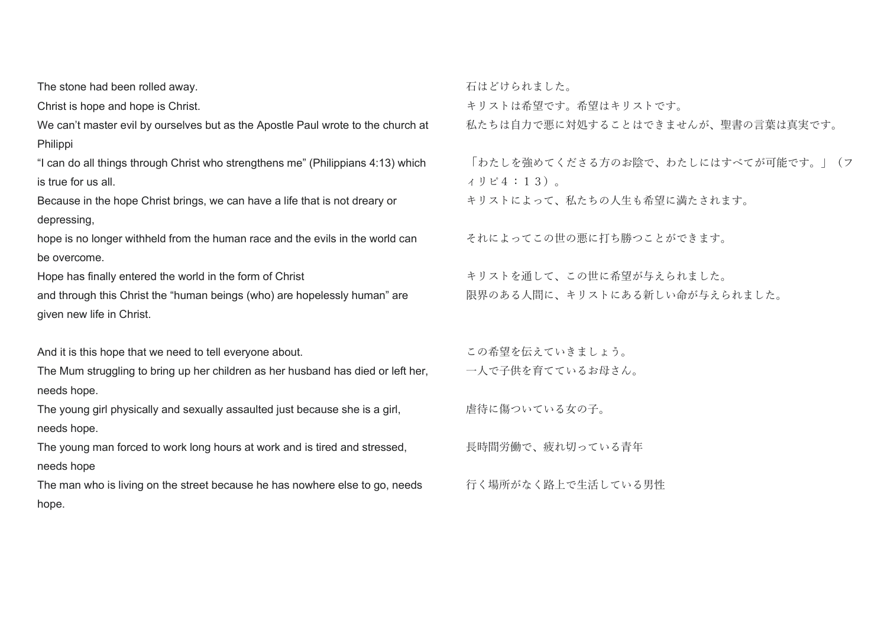The stone had been rolled away.

Christ is hope and hope is Christ.

We can't master evil by ourselves but as the Apostle Paul wrote to the church at Philippi

"I can do all things through Christ who strengthens me" (Philippians 4:13) which is true for us all.

Because in the hope Christ brings, we can have a life that is not dreary or depressing,

hope is no longer withheld from the human race and the evils in the world can be overcome.

Hope has finally entered the world in the form of Christ

and through this Christ the "human beings (who) are hopelessly human" are given new life in Christ.

And it is this hope that we need to tell everyone about.

The Mum struggling to bring up her children as her husband has died or left her, needs hope.

The young girl physically and sexually assaulted just because she is a girl. needs hope.

The young man forced to work long hours at work and is tired and stressed, needs hope

The man who is living on the street because he has nowhere else to go, needs hope.

石はどけられました。 キリストは希望です。希望はキリストです。 私たちは自力で悪に対処することはできませんが、聖書の言葉は真実です。

「わたしを強めてくださる方のお陰で、わたしにはすべてが可能です。」(フ ィリピ4:13)。 キリストによって、私たちの人生も希望に満たされます。

それによってこの世の悪に打ち勝つことができます。

キリストを通して、この世に希望が与えられました。 限界のある人間に、キリストにある新しい命が与えられました。

この希望を伝えていきましょう。 一人で子供を育てているお母さん。

虐待に傷ついている女の子。

長時間労働で、疲れ切っている青年

行く場所がなく路上で生活している男性